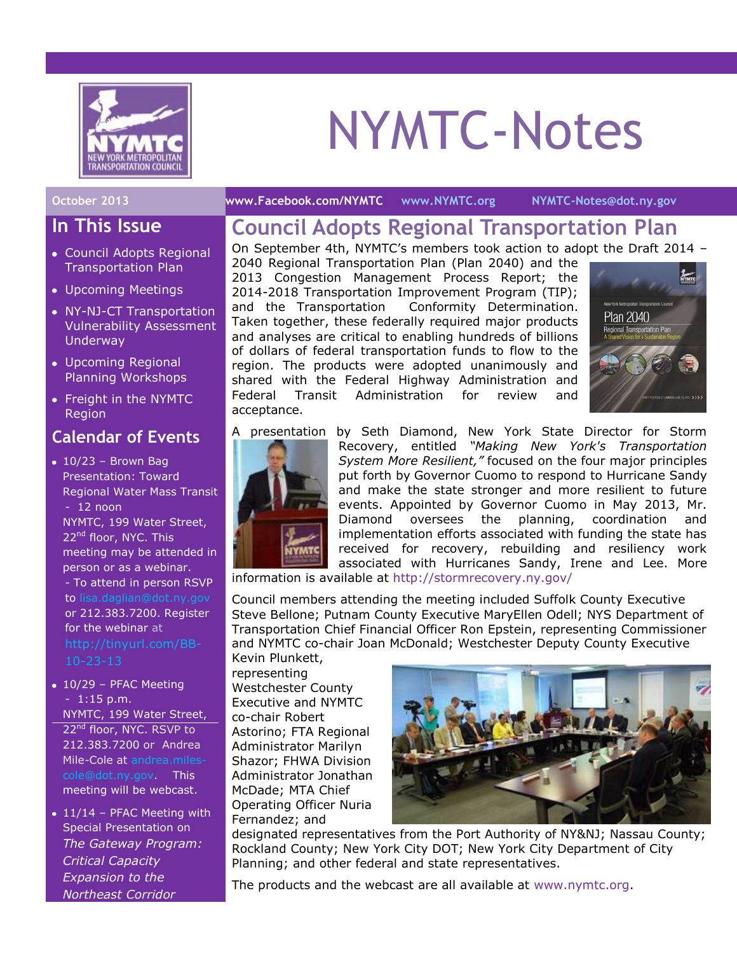

# NYMTC-Notes

## **In This Issue**

- Council Adopts Regional Transportation Plan
- Upcoming Meetings
- NY-NJ-CT Transportation Vulnerability Assessment Underway
- Upcoming Regional Planning Workshops
- Freight in the NYMTC Region

## **Calendar of Events**

- $\cdot$  10/23 Brown Bag Presentation: Toward Regional Water Mass Transit - 12 noon NYMTC, 199 Water Street, 22<sup>nd</sup> floor, NYC. This meeting may be attended in person or as a webinar. - To attend in person RSVP to [lisa.daglian@dot.ny.gov](mailto:lisa.daglian@dot.ny.gov) or 212.383.7200. Register for the webinar at
- 10/29 PFAC Meeting - 1:15 p.m. NYMTC, 199 Water Street, 22<sup>nd</sup> floor, NYC. RSVP to 212.383.7200 or Andrea Mile-Cole at [andrea.miles](mailto:andrea.miles-cole@dot.ny.gov)[cole@dot.ny.gov.](mailto:andrea.miles-cole@dot.ny.gov) This meeting will be webcast.
- $\bullet$  11/14 PFAC Meeting with Special Presentation on *The Gateway Program: Critical Capacity Expansion to the Northeast Corridor*

#### **October 2013 [www.Facebook.com/NYMTC](http://www.facebook.com/NYMTC) [www.NYMTC.org](http://www.nymtc.org/) [NYMTC-Notes@dot.ny.gov](mailto:NYMTC-Notes@dot.ny.gov)**

## **Council Adopts Regional Transportation Plan**

On September 4th, NYMTC's members took action to adopt the Draft 2014 –

2040 Regional Transportation Plan (Plan 2040) and the 2013 Congestion Management Process Report; the 2014-2018 Transportation Improvement Program (TIP); and the Transportation Conformity Determination. Taken together, these federally required major products and analyses are critical to enabling hundreds of billions of dollars of federal transportation funds to flow to the region. The products were adopted unanimously and shared with the Federal Highway Administration and Federal Transit Administration for review and acceptance.





A presentation by Seth Diamond, New York State Director for Storm Recovery, entitled *"Making New York's Transportation System More Resilient,"* focused on the four major principles put forth by Governor Cuomo to respond to Hurricane Sandy and make the state stronger and more resilient to future events. Appointed by Governor Cuomo in May 2013, Mr. Diamond oversees the planning, coordination and implementation efforts associated with funding the state has received for recovery, rebuilding and resiliency work associated with Hurricanes Sandy, Irene and Lee. More

information is available at<http://stormrecovery.ny.gov/>

Council members attending the meeting included Suffolk County Executive Steve Bellone; Putnam County Executive MaryEllen Odell; NYS Department of Transportation Chief Financial Officer Ron Epstein, representing Commissioner and NYMTC co-chair Joan McDonald; Westchester Deputy County Executive

Kevin Plunkett, representing Westchester County Executive and NYMTC co-chair Robert Astorino; FTA Regional Administrator Marilyn Shazor; FHWA Division Administrator Jonathan McDade; MTA Chief Operating Officer Nuria Fernandez; and



designated representatives from the Port Authority of NY&NJ; Nassau County; Rockland County; New York City DOT; New York City Department of City Planning; and other federal and state representatives.

The products and the webcast are all available at [www.nymtc.org.](http://www.nymtc.org/)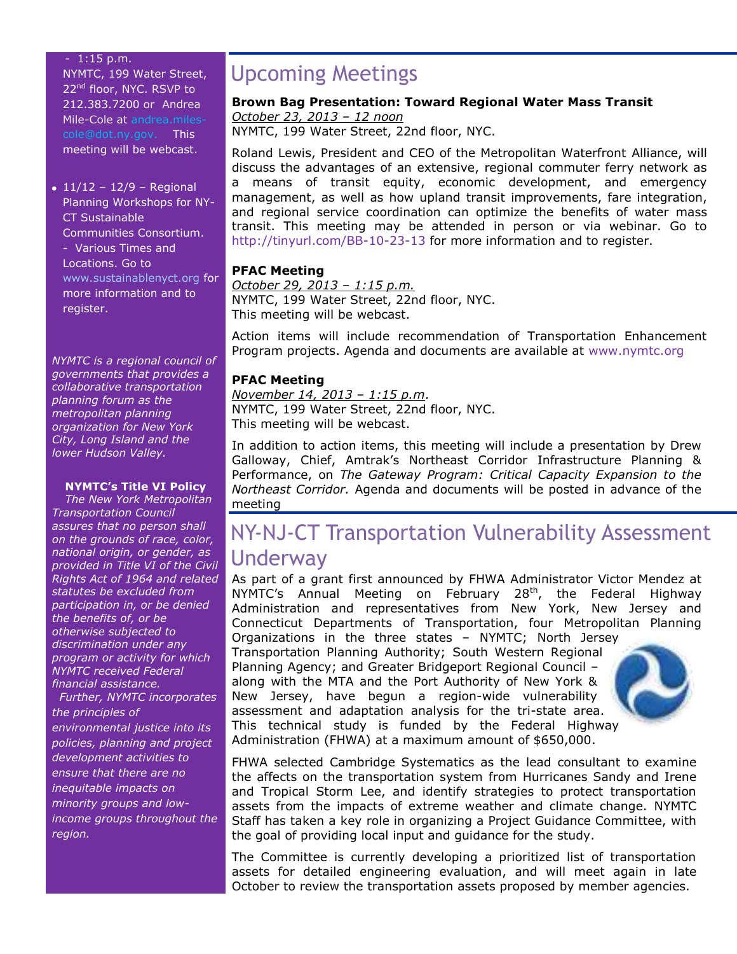#### - 1:15 p.m.

NYMTC, 199 Water Street, 22<sup>nd</sup> floor, NYC. RSVP to 212.383.7200 or Andrea Mile-Cole at [andrea.miles](mailto:andrea.miles-cole@dot.ny.gov)[cole@dot.ny.gov.](mailto:andrea.miles-cole@dot.ny.gov) This meeting will be webcast.

 $\cdot$  11/12 – 12/9 – Regional Planning Workshops for NY-CT Sustainable Communities Consortium. - Various Times and Locations. Go to [www.sustainablenyct.org](http://www.sustainablenyct.org/) for more information and to register.

*NYMTC is a regional council of governments that provides a collaborative transportation planning forum as the metropolitan planning organization for New York City, Long Island and the lower Hudson Valley.*

#### **NYMTC's Title VI Policy**

*The New York Metropolitan Transportation Council assures that no person shall on the grounds of race, color, national origin, or gender, as provided in Title VI of the Civil Rights Act of 1964 and related statutes be excluded from participation in, or be denied the benefits of, or be otherwise subjected to discrimination under any program or activity for which NYMTC received Federal financial assistance. Further, NYMTC incorporates* 

*the principles of environmental justice into its policies, planning and project development activities to ensure that there are no inequitable impacts on minority groups and lowincome groups throughout the* 

*region.*

## Upcoming Meetings

#### **Brown Bag Presentation: Toward Regional Water Mass Transit** *October 23, 2013 – 12 noon*

NYMTC, 199 Water Street, 22nd floor, NYC.

Roland Lewis, President and CEO of the Metropolitan Waterfront Alliance, will discuss the advantages of an extensive, regional commuter ferry network as a means of transit equity, economic development, and emergency management, as well as how upland transit improvements, fare integration, and regional service coordination can optimize the benefits of water mass transit. This meeting may be attended in person or via webinar. Go to <http://tinyurl.com/BB-10-23-13> for more information and to register.

#### **PFAC Meeting**

*October 29, 2013 – 1:15 p.m.* NYMTC, 199 Water Street, 22nd floor, NYC. This meeting will be webcast.

Action items will include recommendation of Transportation Enhancement Program projects. Agenda and documents are available at [www.nymtc.org](http://www.nymtc.org/)

#### **PFAC Meeting**

*November 14, 2013 – 1:15 p.m*. NYMTC, 199 Water Street, 22nd floor, NYC. This meeting will be webcast.

In addition to action items, this meeting will include a presentation by Drew Galloway, Chief, Amtrak's Northeast Corridor Infrastructure Planning & Performance, on *The Gateway Program: Critical Capacity Expansion to the Northeast Corridor.* Agenda and documents will be posted in advance of the meeting

## NY-NJ-CT Transportation Vulnerability Assessment Underway

As part of a grant first announced by FHWA Administrator Victor Mendez at NYMTC's Annual Meeting on February 28<sup>th</sup>, the Federal Highway Administration and representatives from New York, New Jersey and Connecticut Departments of Transportation, four Metropolitan Planning

Organizations in the three states – NYMTC; North Jersey Transportation Planning Authority; South Western Regional Planning Agency; and Greater Bridgeport Regional Council – along with the MTA and the Port Authority of New York & New Jersey, have begun a region-wide vulnerability assessment and adaptation analysis for the tri-state area. This technical study is funded by the Federal Highway Administration (FHWA) at a maximum amount of \$650,000.



FHWA selected Cambridge Systematics as the lead consultant to examine the affects on the transportation system from Hurricanes Sandy and Irene and Tropical Storm Lee, and identify strategies to protect transportation assets from the impacts of extreme weather and climate change. NYMTC Staff has taken a key role in organizing a Project Guidance Committee, with the goal of providing local input and guidance for the study.

The Committee is currently developing a prioritized list of transportation assets for detailed engineering evaluation, and will meet again in late October to review the transportation assets proposed by member agencies.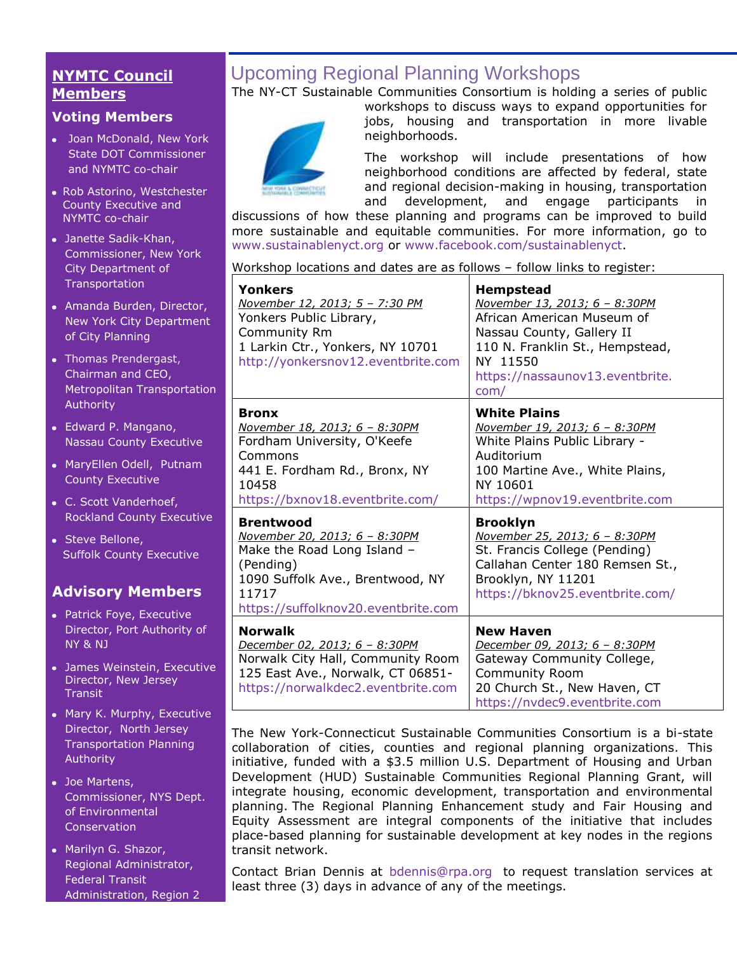## **NYMTC Council Members**

#### **Voting Members**

- Joan McDonald, New York State DOT Commissioner and NYMTC co-chair
- Rob Astorino, Westchester County Executive and NYMTC co-chair
- Janette Sadik-Khan, Commissioner, New York City Department of **Transportation**
- Amanda Burden, Director, New York City Department of City Planning
- [Thomas Prendergast,](http://www.mta.info/mta/leadership/ferrer.htm) Chairman and CEO, Metropolitan Transportation Authority
- Edward P. Mangano, Nassau County Executive
- MaryEllen Odell, Putnam County Executive
- C. Scott Vanderhoef, Rockland County Executive
- Steve Bellone, Suffolk County Executive

## **Advisory Members**

- Patrick Foye, Executive Director, Port Authority of NY & NJ
- James Weinstein, Executive Director, New Jersey **Transit**
- Mary K. Murphy, Executive Director, North Jersey Transportation Planning Authority
- Joe Martens, Commissioner, NYS Dept. of Environmental **Conservation**
- Marilyn G. Shazor, Regional Administrator, Federal Transit Administration, Region 2

## Upcoming Regional Planning Workshops

The NY-CT Sustainable Communities Consortium is holding a series of public



workshops to discuss ways to expand opportunities for jobs, housing and transportation in more livable neighborhoods.

The workshop will include presentations of how neighborhood conditions are affected by federal, state and regional decision-making in housing, transportation and development, and engage participants in

discussions of how these planning and programs can be improved to build more sustainable and equitable communities. For more information, go to [www.sustainablenyct.org](http://www.sustainablenyct.org/) or [www.facebook.com/sustainablenyct.](http://www.facebook.com/sustainablenyct)

Workshop locations and dates are as follows – follow links to register:

| <b>Yonkers</b><br>November 12, 2013; 5 - 7:30 PM<br>Yonkers Public Library,<br>Community Rm<br>1 Larkin Ctr., Yonkers, NY 10701<br>http://yonkersnov12.eventbrite.com             | <b>Hempstead</b><br>November 13, 2013; 6 - 8:30PM<br>African American Museum of<br>Nassau County, Gallery II<br>110 N. Franklin St., Hempstead,<br>NY 11550<br>https://nassaunov13.eventbrite.<br>com/ |
|-----------------------------------------------------------------------------------------------------------------------------------------------------------------------------------|--------------------------------------------------------------------------------------------------------------------------------------------------------------------------------------------------------|
| <b>Bronx</b><br>November 18, 2013; 6 - 8:30PM<br>Fordham University, O'Keefe<br>Commons<br>441 E. Fordham Rd., Bronx, NY<br>10458<br>https://bxnov18.eventbrite.com/              | <b>White Plains</b><br>November 19, 2013; 6 - 8:30PM<br>White Plains Public Library -<br>Auditorium<br>100 Martine Ave., White Plains,<br>NY 10601<br>https://wpnov19.eventbrite.com                   |
| <b>Brentwood</b><br>November 20, 2013; 6 - 8:30PM<br>Make the Road Long Island -<br>(Pending)<br>1090 Suffolk Ave., Brentwood, NY<br>11717<br>https://suffolknov20.eventbrite.com | <b>Brooklyn</b><br>November 25, 2013; 6 - 8:30PM<br>St. Francis College (Pending)<br>Callahan Center 180 Remsen St.,<br>Brooklyn, NY 11201<br>https://bknov25.eventbrite.com/                          |
| <b>Norwalk</b><br>December 02, 2013; 6 - 8:30PM<br>Norwalk City Hall, Community Room<br>125 East Ave., Norwalk, CT 06851-<br>https://norwalkdec2.eventbrite.com                   | <b>New Haven</b><br>December 09, 2013; 6 - 8:30PM<br>Gateway Community College,<br><b>Community Room</b><br>20 Church St., New Haven, CT<br>https://nvdec9.eventbrite.com                              |

The New York-Connecticut Sustainable Communities Consortium is a bi-state collaboration of cities, counties and regional planning organizations. This initiative, funded with a \$3.5 million U.S. Department of Housing and Urban Development (HUD) Sustainable Communities Regional Planning Grant, will integrate housing, economic development, transportation and environmental planning. The Regional Planning Enhancement study and Fair Housing and Equity Assessment are integral components of the initiative that includes place-based planning for sustainable development at key nodes in the regions transit network.

Contact Brian Dennis at [bdennis@rpa.org](mailto:bdennis@rpa.org) to request translation services at least three (3) days in advance of any of the meetings.